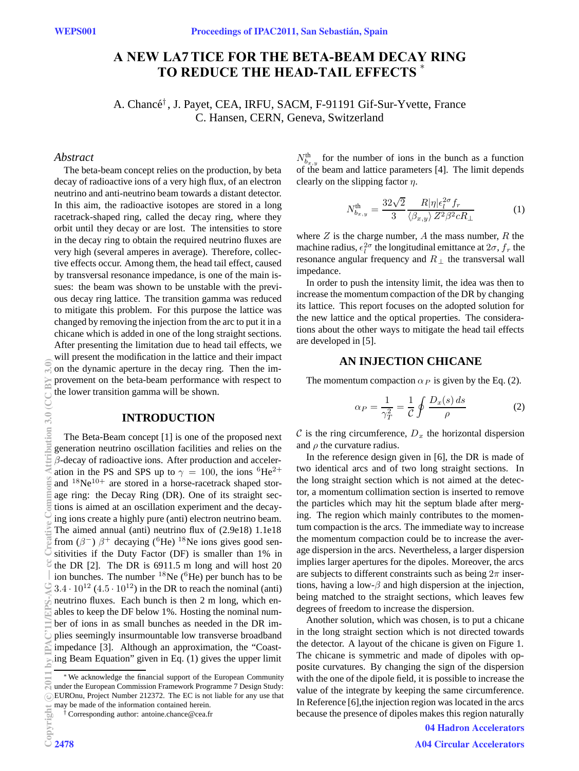# ∗ **TO REDUCE THE HEAD-TAIL EFFECTS A NEW LA7TICE FOR THE BETA-BEAM DECAY RING**

A. Chancé<sup>†</sup>, J. Payet, CEA, IRFU, SACM, F-91191 Gif-Sur-Yvette, France C. Hansen, CERN, Geneva, Switzerland

#### *Abstract*

The beta-beam concept relies on the production, by beta decay of radioactive ions of a very high flux, of an electron neutrino and anti-neutrino beam towards a distant detector. In this aim, the radioactive isotopes are stored in a long racetrack-shaped ring, called the decay ring, where they orbit until they decay or are lost. The intensities to store in the decay ring to obtain the required neutrino fluxes are very high (several amperes in average). Therefore, collective effects occur. Among them, the head tail effect, caused by transversal resonance impedance, is one of the main issues: the beam was shown to be unstable with the previous decay ring lattice. The transition gamma was reduced to mitigate this problem. For this purpose the lattice was changed by removing the injection from the arc to put it in a chicane which is added in one of the long straight sections.

After presenting the limitation due to head tail effects, we will present the modification in the lattice and their impact on the dynamic aperture in the decay ring. Then the improvement on the beta-beam performance with respect to the lower transition gamma will be shown.

#### **INTRODUCTION**

The Beta-Beam concept [1] is one of the proposed next generation neutrino oscillation facilities and relies on the  $\beta$ -decay of radioactive ions. After production and acceleration in the PS and SPS up to  $\gamma = 100$ , the ions <sup>6</sup>He<sup>2+</sup> and  $18Ne^{10+}$  are stored in a horse-racetrack shaped storage ring: the Decay Ring (DR). One of its straight sections is aimed at an oscillation experiment and the decaying ions create a highly pure (anti) electron neutrino beam. The aimed annual (anti) neutrino flux of (2.9e18) 1.1e18 from  $(\beta^-)$   $\beta^+$  decaying (<sup>6</sup>He) <sup>18</sup>Ne ions gives good sensitivities if the Duty Factor (DF) is smaller than 1% in the DR [2]. The DR is 6911.5 m long and will host 20 ion bunches. The number  $^{18}$ Ne ( $^{6}$ He) per bunch has to be  $3.4 \cdot 10^{12}$  (4.5  $\cdot 10^{12}$ ) in the DR to reach the nominal (anti) neutrino fluxes. Each bunch is then 2 m long, which enables to keep the DF below 1%. Hosting the nominal number of ions in as small bunches as needed in the DR implies seemingly insurmountable low transverse broadband impedance [3]. Although an approximation, the "Coasting Beam Equation" given in Eq. (1) gives the upper limit

 $N_{b_{x,y}}^{\text{th}}$  for the number of ions in the bunch as a function of the beam and lattice parameters [4]. The limit depends clearly on the slipping factor  $\eta$ .

$$
N_{b_{x,y}}^{\text{th}} = \frac{32\sqrt{2}}{3} \frac{R|\eta|\epsilon_i^{2\sigma} f_r}{\langle \beta_{x,y} \rangle Z^2 \beta^2 c R_\perp}
$$
 (1)

where  $Z$  is the charge number,  $A$  the mass number,  $R$  the machine radius,  $\epsilon_l^{2\sigma}$  the longitudinal emittance at  $2\sigma$ ,  $f_r$  the resonance angular frequency and  $R_{\perp}$  the transversal wall impedance.

In order to push the intensity limit, the idea was then to increase the momentum compaction of the DR by changing its lattice. This report focuses on the adopted solution for the new lattice and the optical properties. The considerations about the other ways to mitigate the head tail effects are developed in [5].

#### **AN INJECTION CHICANE**

The momentum compaction  $\alpha_P$  is given by the Eq. (2).

$$
\alpha_P = \frac{1}{\gamma_T^2} = \frac{1}{\mathcal{C}} \oint \frac{D_x(s) \, ds}{\rho} \tag{2}
$$

C is the ring circumference,  $D_x$  the horizontal dispersion and  $\rho$  the curvature radius.

In the reference design given in [6], the DR is made of two identical arcs and of two long straight sections. In the long straight section which is not aimed at the detector, a momentum collimation section is inserted to remove the particles which may hit the septum blade after merging. The region which mainly contributes to the momentum compaction is the arcs. The immediate way to increase the momentum compaction could be to increase the average dispersion in the arcs. Nevertheless, a larger dispersion implies larger apertures for the dipoles. Moreover, the arcs are subjects to different constraints such as being  $2\pi$  insertions, having a low- $\beta$  and high dispersion at the injection, being matched to the straight sections, which leaves few degrees of freedom to increase the dispersion.

Another solution, which was chosen, is to put a chicane in the long straight section which is not directed towards the detector. A layout of the chicane is given on Figure 1. The chicane is symmetric and made of dipoles with opposite curvatures. By changing the sign of the dispersion with the one of the dipole field, it is possible to increase the value of the integrate by keeping the same circumference. In Reference [6],the injection region was located in the arcs because the presence of dipoles makes this region naturally

04 Hadron Accelerators

<sup>∗</sup>We acknowledge the financial support of the European Community under the European Commission Framework Programme 7 Design Study: EUROnu, Project Number 212372. The EC is not liable for any use that may be made of the information contained herein.

<sup>†</sup> Corresponding author: antoine.chance@cea.fr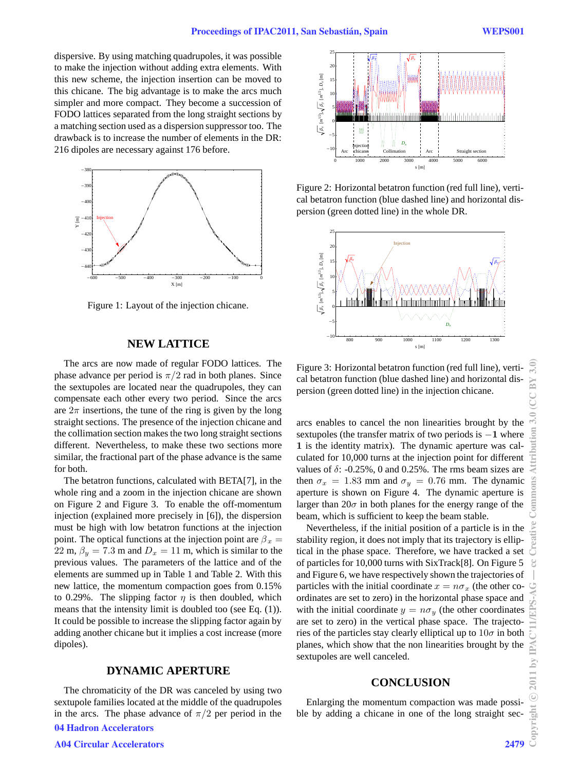dispersive. By using matching quadrupoles, it was possible to make the injection without adding extra elements. With this new scheme, the injection insertion can be moved to this chicane. The big advantage is to make the arcs much simpler and more compact. They become a succession of FODO lattices separated from the long straight sections by a matching section used as a dispersion suppressor too. The drawback is to increase the number of elements in the DR: 216 dipoles are necessary against 176 before.



Figure 1: Layout of the injection chicane.

### **NEW LATTICE**

The arcs are now made of regular FODO lattices. The phase advance per period is  $\pi/2$  rad in both planes. Since the sextupoles are located near the quadrupoles, they can compensate each other every two period. Since the arcs are  $2\pi$  insertions, the tune of the ring is given by the long straight sections. The presence of the injection chicane and the collimation section makes the two long straight sections different. Nevertheless, to make these two sections more similar, the fractional part of the phase advance is the same for both.

The betatron functions, calculated with BETA[7], in the whole ring and a zoom in the injection chicane are shown on Figure 2 and Figure 3. To enable the off-momentum injection (explained more precisely in [6]), the dispersion must be high with low betatron functions at the injection point. The optical functions at the injection point are  $\beta_x =$ 22 m,  $\beta_y = 7.3$  m and  $D_x = 11$  m, which is similar to the previous values. The parameters of the lattice and of the elements are summed up in Table 1 and Table 2. With this new lattice, the momentum compaction goes from 0.15% to 0.29%. The slipping factor  $\eta$  is then doubled, which means that the intensity limit is doubled too (see Eq. (1)). It could be possible to increase the slipping factor again by adding another chicane but it implies a cost increase (more dipoles).

# **DYNAMIC APERTURE**

The chromaticity of the DR was canceled by using two sextupole families located at the middle of the quadrupoles in the arcs. The phase advance of  $\pi/2$  per period in the 04 Hadron Accelerators



Figure 2: Horizontal betatron function (red full line), vertical betatron function (blue dashed line) and horizontal dispersion (green dotted line) in the whole DR.



Figure 3: Horizontal betatron function (red full line), vertical betatron function (blue dashed line) and horizontal dispersion (green dotted line) in the injection chicane.

arcs enables to cancel the non linearities brought by the sextupoles (the transfer matrix of two periods is −**1** where **1** is the identity matrix). The dynamic aperture was calculated for 10,000 turns at the injection point for different values of  $\delta$ : -0.25%, 0 and 0.25%. The rms beam sizes are then  $\sigma_x = 1.83$  mm and  $\sigma_y = 0.76$  mm. The dynamic aperture is shown on Figure 4. The dynamic aperture is larger than  $20\sigma$  in both planes for the energy range of the beam, which is sufficient to keep the beam stable.

Nevertheless, if the initial position of a particle is in the stability region, it does not imply that its trajectory is elliptical in the phase space. Therefore, we have tracked a set of particles for 10,000 turns with SixTrack[8]. On Figure 5 and Figure 6, we have respectively shown the trajectories of particles with the initial coordinate  $x = n\sigma_x$  (the other coordinates are set to zero) in the horizontal phase space and with the initial coordinate  $y = n\sigma_y$  (the other coordinates are set to zero) in the vertical phase space. The trajectories of the particles stay clearly elliptical up to  $10\sigma$  in both planes, which show that the non linearities brought by the sextupoles are well canceled.

#### **CONCLUSION**

Enlarging the momentum compaction was made possible by adding a chicane in one of the long straight sec